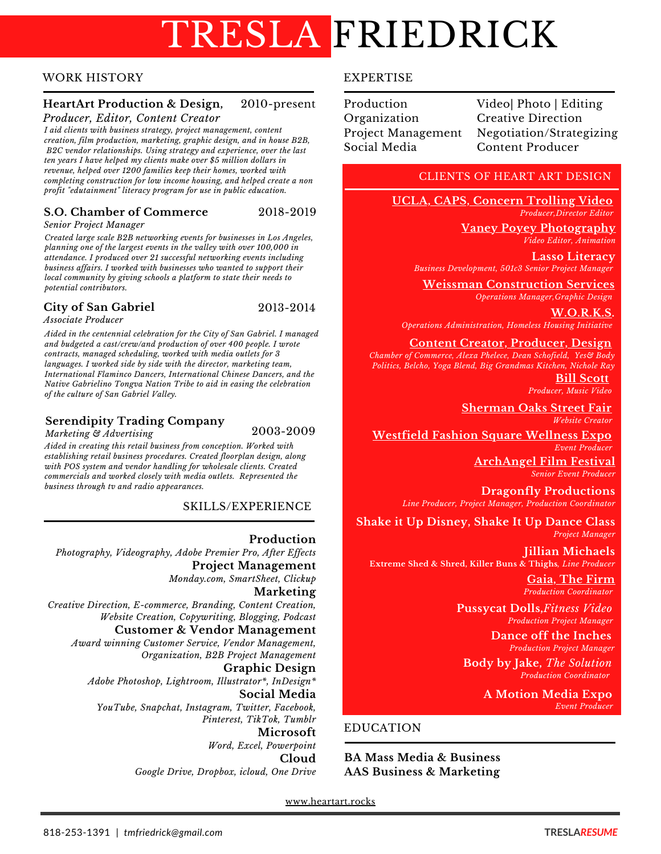# TRESLA FRIEDRICK

#### **WORK HISTORY**

#### **HeartArt Production & Design,** 2010-present

Producer, Editor, Content Creator

I aid clients with business strategy, project management, content creation, film production, marketing, graphic design, and in house B2B, B2C vendor relationships. Using strategy and experience, over the last ten years I have helped my clients make over \$5 million dollars in revenue, helped over 1200 families keep their homes, worked with completing construction for low income housing, and helped create a non profit "edutainment" literacy program for use in public education.

#### S.O. Chamber of Commerce 2018-2019

Senior Project Manager

Created large scale B2B networking events for businesses in Los Angeles, planning one of the largest events in the valley with over 100,000 in attendance. I produced over 21 successful networking events including business affairs. I worked with businesses who wanted to support their local community by giving schools a platform to state their needs to potential contributors.

#### **City of San Gabriel**

2013-2014

Associate Producer

Aided in the centennial celebration for the City of San Gabriel. I managed and budgeted a cast/crew/and production of over 400 people. I wrote contracts, managed scheduling, worked with media outlets for 3 languages. I worked side by side with the director, marketing team, International Flaminco Dancers, International Chinese Dancers, and the Native Gabrielino Tongva Nation Tribe to aid in easing the celebration of the culture of San Gabriel Valley.

#### **Serendipity Trading Company**

2003-2009

Marketing & Advertising Aided in creating this retail business from conception. Worked with establishing retail business procedures. Created floorplan design, along with POS system and vendor handling for wholesale clients. Created commercials and worked closely with media outlets. Represented the business through tv and radio appearances.

#### SKILLS/EXPERIENCE

Production Photography, Videography, Adobe Premier Pro, After Effects **Project Management** Monday.com, SmartSheet, Clickup **Marketing** Creative Direction, E-commerce, Branding, Content Creation, Website Creation, Copywriting, Blogging, Podcast **Customer & Vendor Management** Award winning Customer Service, Vendor Management, Organization, B2B Project Management **Graphic Design** Adobe Photoshop, Lightroom, Illustrator\*, InDesign\* Social Media YouTube, Snapchat, Instagram, Twitter, Facebook, Pinterest, TikTok, Tumblr Microsoft Word, Excel, Powerpoint Cloud

Google Drive, Dropbox, icloud, One Drive

#### **EXPERTISE**

| Production         | Video  Photo   Editing    |
|--------------------|---------------------------|
| Organization       | <b>Creative Direction</b> |
| Project Management | Negotiation/Strategizing  |
| Social Media       | Content Producer          |
|                    |                           |

#### **CLIENTS OF HEART ART DESIGN**

UCLA, CAPS, Concern Trolling Video Producer, Director Editor

> <u>Vaney Poyey Photography</u> Video Editor, Animation

**Lasso Literacv** Business Development, 501c3 Senior Project Manager

**Weissman Construction Services** Operations Manager, Graphic Design

W.O.R.K.S. Operations Administration, Homeless Housing Initiative

**Content Creator, Producer, Design** 

Chamber of Commerce, Alexa Phelece, Dean Schofield, Yes& Body Politics, Belcho, Yoga Blend, Big Grandmas Kitchen, Nichole Ray

**Bill Scott** Producer, Music Video

**Sherman Oaks Street Fair** Website Creator

**Westfield Fashion Square Wellness Expo** Event Producer

> **ArchAngel Film Festival Senior Event Producer**

**Dragonfly Productions** Line Producer, Project Manager, Production Coordinator

Shake it Up Disney, Shake It Up Dance Class Project Manager

**Jillian Michaels** Extreme Shed & Shred, Killer Buns & Thighs, Line Producer

> Gaia, The Firm **Production Coordinator**

**Pussycat Dolls, Fitness Video Production Project Manager** 

> Dance off the Inches **Production Project Manager**

**Body by Jake, The Solution Production Coordinator** 

> **A Motion Media Expo** Event Producer

#### **EDUCATION**

**BA Mass Media & Business AAS Business & Marketing** 

www.heartart.rocks